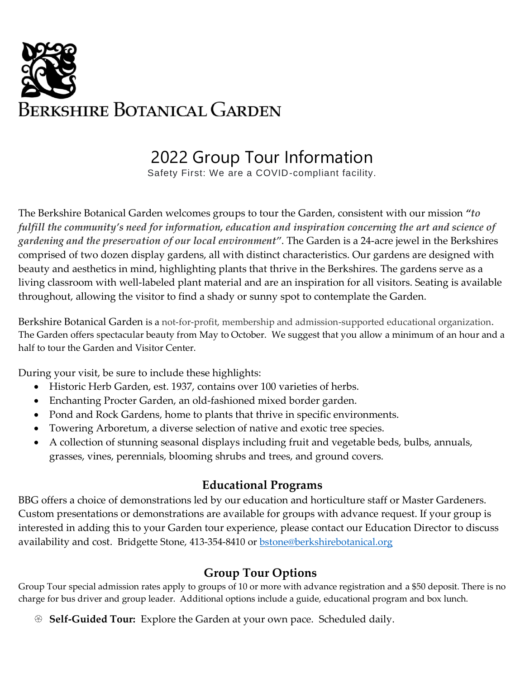

# 2022 Group Tour Information

Safety First: We are a COVID-compliant facility.

The Berkshire Botanical Garden welcomes groups to tour the Garden, consistent with our mission *"to fulfill the community's need for information, education and inspiration concerning the art and science of gardening and the preservation of our local environment"*. The Garden is a 24-acre jewel in the Berkshires comprised of two dozen display gardens, all with distinct characteristics. Our gardens are designed with beauty and aesthetics in mind, highlighting plants that thrive in the Berkshires. The gardens serve as a living classroom with well-labeled plant material and are an inspiration for all visitors. Seating is available throughout, allowing the visitor to find a shady or sunny spot to contemplate the Garden.

Berkshire Botanical Garden is a not-for-profit, membership and admission-supported educational organization. The Garden offers spectacular beauty from May to October. We suggest that you allow a minimum of an hour and a half to tour the Garden and Visitor Center.

During your visit, be sure to include these highlights:

- Historic Herb Garden, est. 1937, contains over 100 varieties of herbs.
- Enchanting Procter Garden, an old-fashioned mixed border garden.
- Pond and Rock Gardens, home to plants that thrive in specific environments.
- Towering Arboretum, a diverse selection of native and exotic tree species.
- A collection of stunning seasonal displays including fruit and vegetable beds, bulbs, annuals, grasses, vines, perennials, blooming shrubs and trees, and ground covers.

#### **Educational Programs**

BBG offers a choice of demonstrations led by our education and horticulture staff or Master Gardeners. Custom presentations or demonstrations are available for groups with advance request. If your group is interested in adding this to your Garden tour experience, please contact our Education Director to discuss availability and cost. Bridgette Stone, 413-354-8410 or [bstone@berkshirebotanical.org](mailto:bstone@berkshirebotanical.org)

## **Group Tour Options**

Group Tour special admission rates apply to groups of 10 or more with advance registration and a \$50 deposit. There is no charge for bus driver and group leader. Additional options include a guide, educational program and box lunch.

**Self-Guided Tour:** Explore the Garden at your own pace. Scheduled daily.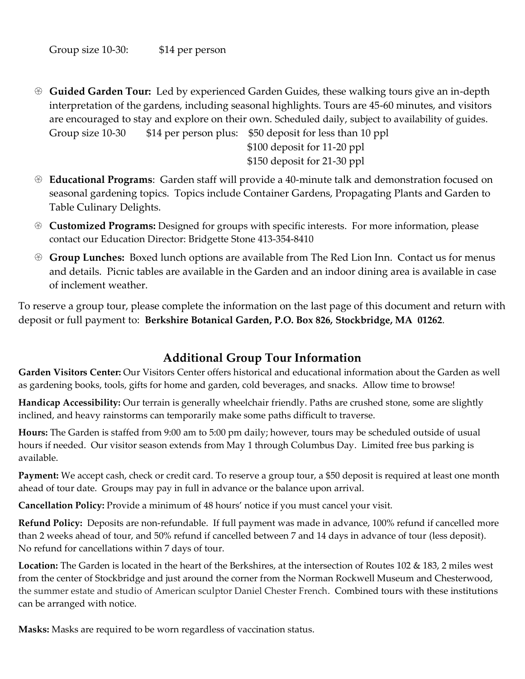- **Guided Garden Tour:** Led by experienced Garden Guides, these walking tours give an in-depth interpretation of the gardens, including seasonal highlights. Tours are 45-60 minutes, and visitors are encouraged to stay and explore on their own. Scheduled daily, subject to availability of guides. Group size 10-30 \$14 per person plus: \$50 deposit for less than 10 ppl \$100 deposit for 11-20 ppl \$150 deposit for 21-30 ppl
- **Educational Programs**: Garden staff will provide a 40-minute talk and demonstration focused on seasonal gardening topics. Topics include Container Gardens, Propagating Plants and Garden to Table Culinary Delights.
- **Customized Programs:** Designed for groups with specific interests. For more information, please contact our Education Director: Bridgette Stone 413-354-8410
- **Group Lunches:** Boxed lunch options are available from The Red Lion Inn. Contact us for menus and details. Picnic tables are available in the Garden and an indoor dining area is available in case of inclement weather.

To reserve a group tour, please complete the information on the last page of this document and return with deposit or full payment to: **Berkshire Botanical Garden, P.O. Box 826, Stockbridge, MA 01262**.

## **Additional Group Tour Information**

**Garden Visitors Center:** Our Visitors Center offers historical and educational information about the Garden as well as gardening books, tools, gifts for home and garden, cold beverages, and snacks. Allow time to browse!

**Handicap Accessibility:** Our terrain is generally wheelchair friendly. Paths are crushed stone, some are slightly inclined, and heavy rainstorms can temporarily make some paths difficult to traverse.

**Hours:** The Garden is staffed from 9:00 am to 5:00 pm daily; however, tours may be scheduled outside of usual hours if needed. Our visitor season extends from May 1 through Columbus Day. Limited free bus parking is available.

**Payment:** We accept cash, check or credit card. To reserve a group tour, a \$50 deposit is required at least one month ahead of tour date. Groups may pay in full in advance or the balance upon arrival.

**Cancellation Policy:** Provide a minimum of 48 hours' notice if you must cancel your visit.

**Refund Policy:** Deposits are non-refundable. If full payment was made in advance, 100% refund if cancelled more than 2 weeks ahead of tour, and 50% refund if cancelled between 7 and 14 days in advance of tour (less deposit). No refund for cancellations within 7 days of tour.

**Location:** The Garden is located in the heart of the Berkshires, at the intersection of Routes 102 & 183, 2 miles west from the center of Stockbridge and just around the corner from the Norman Rockwell Museum and Chesterwood, the summer estate and studio of American sculptor Daniel Chester French. Combined tours with these institutions can be arranged with notice.

**Masks:** Masks are required to be worn regardless of vaccination status.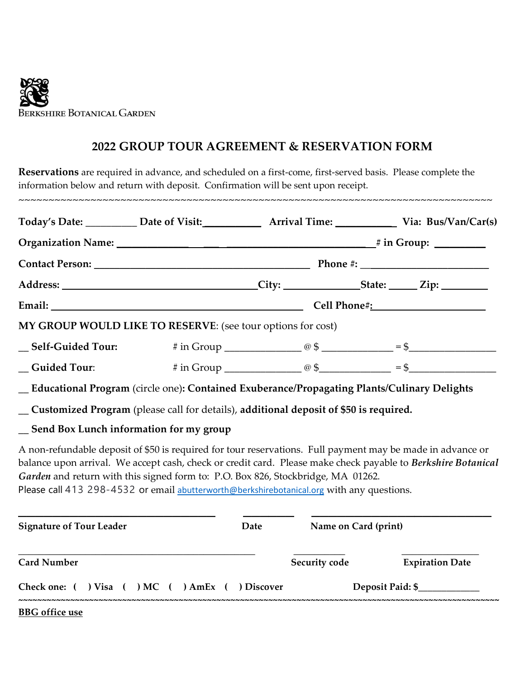

#### **2022 GROUP TOUR AGREEMENT & RESERVATION FORM**

**Reservations** are required in advance, and scheduled on a first-come, first-served basis. Please complete the information below and return with deposit. Confirmation will be sent upon receipt.

~~~~~~~~~~~~~~~~~~~~~~~~~~~~~~~~~~~~~~~~~~~~~~~~~~~~~~~~~~~~~~~~~~~~~~~~~~~~~~~

| Today's Date: __________ Date of Visit: ____________ Arrival Time: ____________ Via: Bus/Van/Car(s) |                                                                                                                                                                                                                                                                                                                |  |  |  |  |
|-----------------------------------------------------------------------------------------------------|----------------------------------------------------------------------------------------------------------------------------------------------------------------------------------------------------------------------------------------------------------------------------------------------------------------|--|--|--|--|
|                                                                                                     |                                                                                                                                                                                                                                                                                                                |  |  |  |  |
|                                                                                                     |                                                                                                                                                                                                                                                                                                                |  |  |  |  |
|                                                                                                     |                                                                                                                                                                                                                                                                                                                |  |  |  |  |
|                                                                                                     |                                                                                                                                                                                                                                                                                                                |  |  |  |  |
|                                                                                                     | MY GROUP WOULD LIKE TO RESERVE: (see tour options for cost)                                                                                                                                                                                                                                                    |  |  |  |  |
|                                                                                                     |                                                                                                                                                                                                                                                                                                                |  |  |  |  |
|                                                                                                     | $\text{Cuided Tour:}$ # in Group $\textcircled{3}$ $\textcircled{4}$ = \$                                                                                                                                                                                                                                      |  |  |  |  |
|                                                                                                     | _Educational Program (circle one): Contained Exuberance/Propagating Plants/Culinary Delights                                                                                                                                                                                                                   |  |  |  |  |
|                                                                                                     | _ Customized Program (please call for details), additional deposit of \$50 is required.                                                                                                                                                                                                                        |  |  |  |  |
| Send Box Lunch information for my group                                                             |                                                                                                                                                                                                                                                                                                                |  |  |  |  |
|                                                                                                     | A non-refundable deposit of \$50 is required for tour reservations. Full payment may be made in advance or<br>balance upon arrival. We accept cash, check or credit card. Please make check payable to Berkshire Botanical<br>Garden and return with this signed form to: P.O. Box 826, Stockbridge, MA 01262. |  |  |  |  |

Please call 413 298-4532 or email [abutterworth@berkshirebotanical.org](mailto:abutterworth@berkshirebotanical.org) with any questions.

| <b>Signature of Tour Leader</b>       | Date     | Name on Card (print) |                        |
|---------------------------------------|----------|----------------------|------------------------|
| <b>Card Number</b>                    |          | <b>Security code</b> | <b>Expiration Date</b> |
| Check one: ( ) Visa ( ) MC ( ) AmEx ( | Discover | Deposit Paid: \$     |                        |